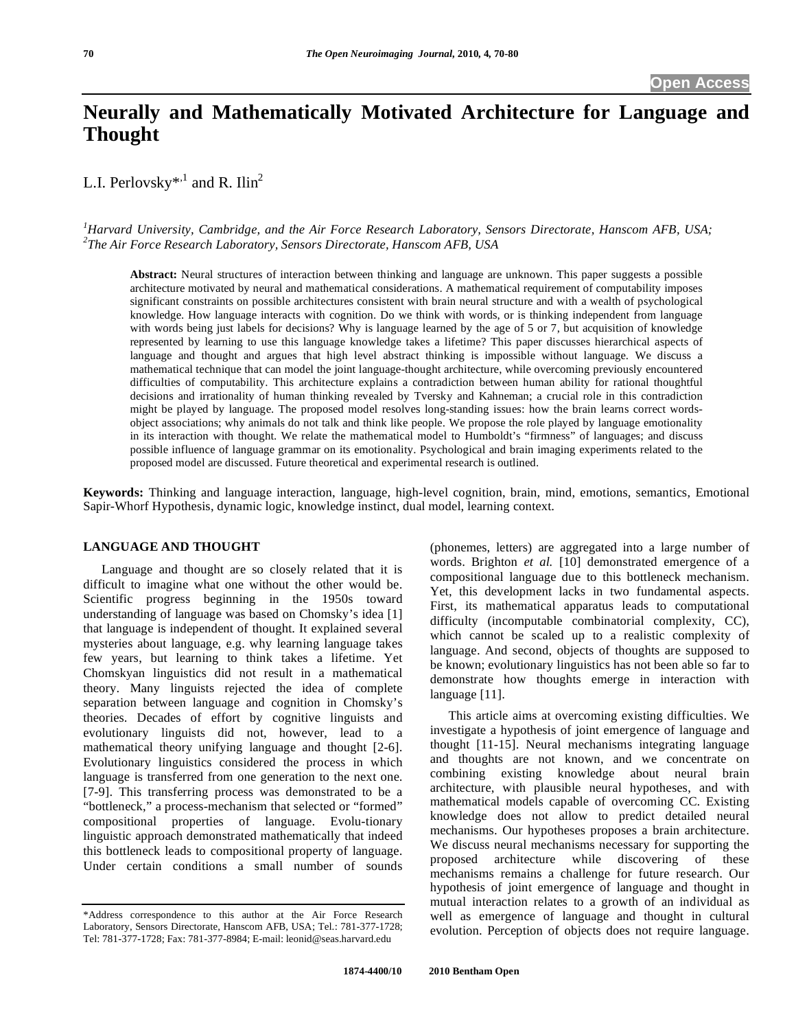# **Neurally and Mathematically Motivated Architecture for Language and Thought**

L.I. Perlovsky<sup>\*,1</sup> and R. Ilin<sup>2</sup>

*1 Harvard University, Cambridge, and the Air Force Research Laboratory, Sensors Directorate, Hanscom AFB, USA; 2 The Air Force Research Laboratory, Sensors Directorate, Hanscom AFB, USA* 

**Abstract:** Neural structures of interaction between thinking and language are unknown. This paper suggests a possible architecture motivated by neural and mathematical considerations. A mathematical requirement of computability imposes significant constraints on possible architectures consistent with brain neural structure and with a wealth of psychological knowledge. How language interacts with cognition. Do we think with words, or is thinking independent from language with words being just labels for decisions? Why is language learned by the age of 5 or 7, but acquisition of knowledge represented by learning to use this language knowledge takes a lifetime? This paper discusses hierarchical aspects of language and thought and argues that high level abstract thinking is impossible without language. We discuss a mathematical technique that can model the joint language-thought architecture, while overcoming previously encountered difficulties of computability. This architecture explains a contradiction between human ability for rational thoughtful decisions and irrationality of human thinking revealed by Tversky and Kahneman; a crucial role in this contradiction might be played by language. The proposed model resolves long-standing issues: how the brain learns correct wordsobject associations; why animals do not talk and think like people. We propose the role played by language emotionality in its interaction with thought. We relate the mathematical model to Humboldt's "firmness" of languages; and discuss possible influence of language grammar on its emotionality. Psychological and brain imaging experiments related to the proposed model are discussed. Future theoretical and experimental research is outlined.

**Keywords:** Thinking and language interaction, language, high-level cognition, brain, mind, emotions, semantics, Emotional Sapir-Whorf Hypothesis, dynamic logic, knowledge instinct, dual model, learning context.

# **LANGUAGE AND THOUGHT**

 Language and thought are so closely related that it is difficult to imagine what one without the other would be. Scientific progress beginning in the 1950s toward understanding of language was based on Chomsky's idea [1] that language is independent of thought. It explained several mysteries about language, e.g. why learning language takes few years, but learning to think takes a lifetime. Yet Chomskyan linguistics did not result in a mathematical theory. Many linguists rejected the idea of complete separation between language and cognition in Chomsky's theories. Decades of effort by cognitive linguists and evolutionary linguists did not, however, lead to a mathematical theory unifying language and thought [2-6]. Evolutionary linguistics considered the process in which language is transferred from one generation to the next one. [7-9]. This transferring process was demonstrated to be a "bottleneck," a process-mechanism that selected or "formed" compositional properties of language. Evolu-tionary linguistic approach demonstrated mathematically that indeed this bottleneck leads to compositional property of language. Under certain conditions a small number of sounds

(phonemes, letters) are aggregated into a large number of words. Brighton *et al.* [10] demonstrated emergence of a compositional language due to this bottleneck mechanism. Yet, this development lacks in two fundamental aspects. First, its mathematical apparatus leads to computational difficulty (incomputable combinatorial complexity, CC), which cannot be scaled up to a realistic complexity of language. And second, objects of thoughts are supposed to be known; evolutionary linguistics has not been able so far to demonstrate how thoughts emerge in interaction with language [11].

 This article aims at overcoming existing difficulties. We investigate a hypothesis of joint emergence of language and thought [11-15]. Neural mechanisms integrating language and thoughts are not known, and we concentrate on combining existing knowledge about neural brain architecture, with plausible neural hypotheses, and with mathematical models capable of overcoming CC. Existing knowledge does not allow to predict detailed neural mechanisms. Our hypotheses proposes a brain architecture. We discuss neural mechanisms necessary for supporting the proposed architecture while discovering of these mechanisms remains a challenge for future research. Our hypothesis of joint emergence of language and thought in mutual interaction relates to a growth of an individual as well as emergence of language and thought in cultural evolution. Perception of objects does not require language.

<sup>\*</sup>Address correspondence to this author at the Air Force Research Laboratory, Sensors Directorate, Hanscom AFB, USA; Tel.: 781-377-1728; Tel: 781-377-1728; Fax: 781-377-8984; E-mail: leonid@seas.harvard.edu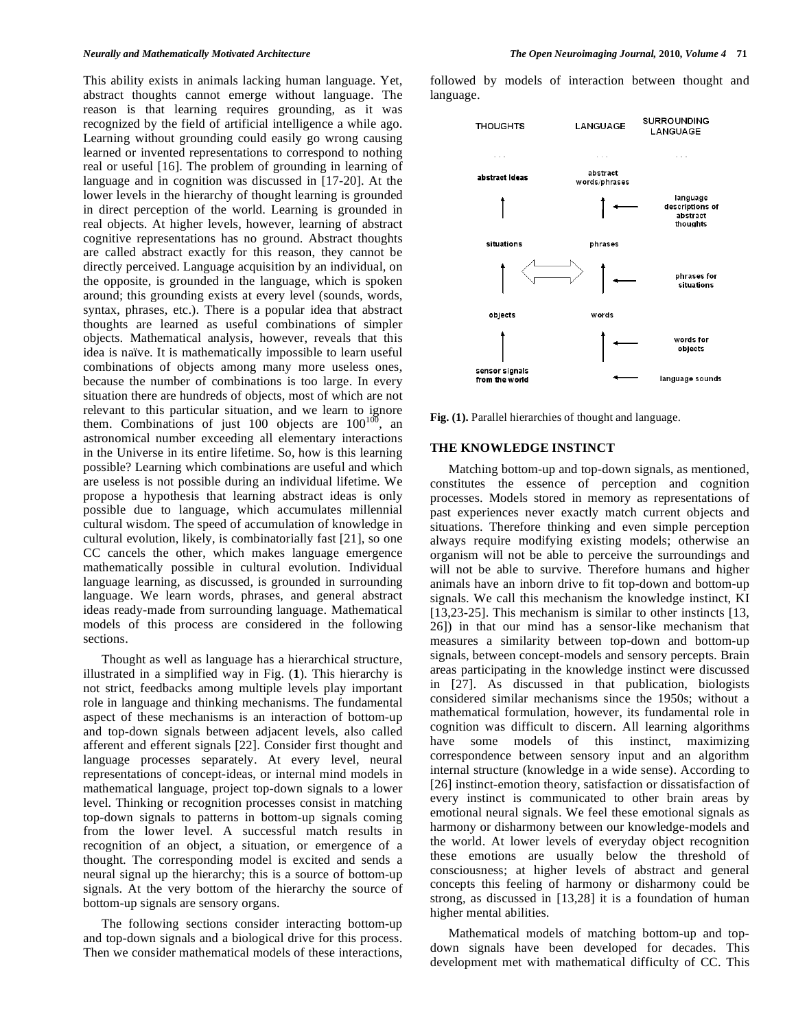This ability exists in animals lacking human language. Yet, abstract thoughts cannot emerge without language. The reason is that learning requires grounding, as it was recognized by the field of artificial intelligence a while ago. Learning without grounding could easily go wrong causing learned or invented representations to correspond to nothing real or useful [16]. The problem of grounding in learning of language and in cognition was discussed in [17-20]. At the lower levels in the hierarchy of thought learning is grounded in direct perception of the world. Learning is grounded in real objects. At higher levels, however, learning of abstract cognitive representations has no ground. Abstract thoughts are called abstract exactly for this reason, they cannot be directly perceived. Language acquisition by an individual, on the opposite, is grounded in the language, which is spoken around; this grounding exists at every level (sounds, words, syntax, phrases, etc.). There is a popular idea that abstract thoughts are learned as useful combinations of simpler objects. Mathematical analysis, however, reveals that this idea is naïve. It is mathematically impossible to learn useful combinations of objects among many more useless ones, because the number of combinations is too large. In every situation there are hundreds of objects, most of which are not relevant to this particular situation, and we learn to ignore them. Combinations of just 100 objects are  $100^{100}$ , an astronomical number exceeding all elementary interactions in the Universe in its entire lifetime. So, how is this learning possible? Learning which combinations are useful and which are useless is not possible during an individual lifetime. We propose a hypothesis that learning abstract ideas is only possible due to language, which accumulates millennial cultural wisdom. The speed of accumulation of knowledge in cultural evolution, likely, is combinatorially fast [21], so one CC cancels the other, which makes language emergence mathematically possible in cultural evolution. Individual language learning, as discussed, is grounded in surrounding language. We learn words, phrases, and general abstract ideas ready-made from surrounding language. Mathematical models of this process are considered in the following sections.

 Thought as well as language has a hierarchical structure, illustrated in a simplified way in Fig. (**1**). This hierarchy is not strict, feedbacks among multiple levels play important role in language and thinking mechanisms. The fundamental aspect of these mechanisms is an interaction of bottom-up and top-down signals between adjacent levels, also called afferent and efferent signals [22]. Consider first thought and language processes separately. At every level, neural representations of concept-ideas, or internal mind models in mathematical language, project top-down signals to a lower level. Thinking or recognition processes consist in matching top-down signals to patterns in bottom-up signals coming from the lower level. A successful match results in recognition of an object, a situation, or emergence of a thought. The corresponding model is excited and sends a neural signal up the hierarchy; this is a source of bottom-up signals. At the very bottom of the hierarchy the source of bottom-up signals are sensory organs.

 The following sections consider interacting bottom-up and top-down signals and a biological drive for this process. Then we consider mathematical models of these interactions, followed by models of interaction between thought and language.



**Fig. (1).** Parallel hierarchies of thought and language.

#### **THE KNOWLEDGE INSTINCT**

 Matching bottom-up and top-down signals, as mentioned, constitutes the essence of perception and cognition processes. Models stored in memory as representations of past experiences never exactly match current objects and situations. Therefore thinking and even simple perception always require modifying existing models; otherwise an organism will not be able to perceive the surroundings and will not be able to survive. Therefore humans and higher animals have an inborn drive to fit top-down and bottom-up signals. We call this mechanism the knowledge instinct, KI [13,23-25]. This mechanism is similar to other instincts [13, 26]) in that our mind has a sensor-like mechanism that measures a similarity between top-down and bottom-up signals, between concept-models and sensory percepts. Brain areas participating in the knowledge instinct were discussed in [27]. As discussed in that publication, biologists considered similar mechanisms since the 1950s; without a mathematical formulation, however, its fundamental role in cognition was difficult to discern. All learning algorithms have some models of this instinct, maximizing correspondence between sensory input and an algorithm internal structure (knowledge in a wide sense). According to [26] instinct-emotion theory, satisfaction or dissatisfaction of every instinct is communicated to other brain areas by emotional neural signals. We feel these emotional signals as harmony or disharmony between our knowledge-models and the world. At lower levels of everyday object recognition these emotions are usually below the threshold of consciousness; at higher levels of abstract and general concepts this feeling of harmony or disharmony could be strong, as discussed in [13,28] it is a foundation of human higher mental abilities.

 Mathematical models of matching bottom-up and topdown signals have been developed for decades. This development met with mathematical difficulty of CC. This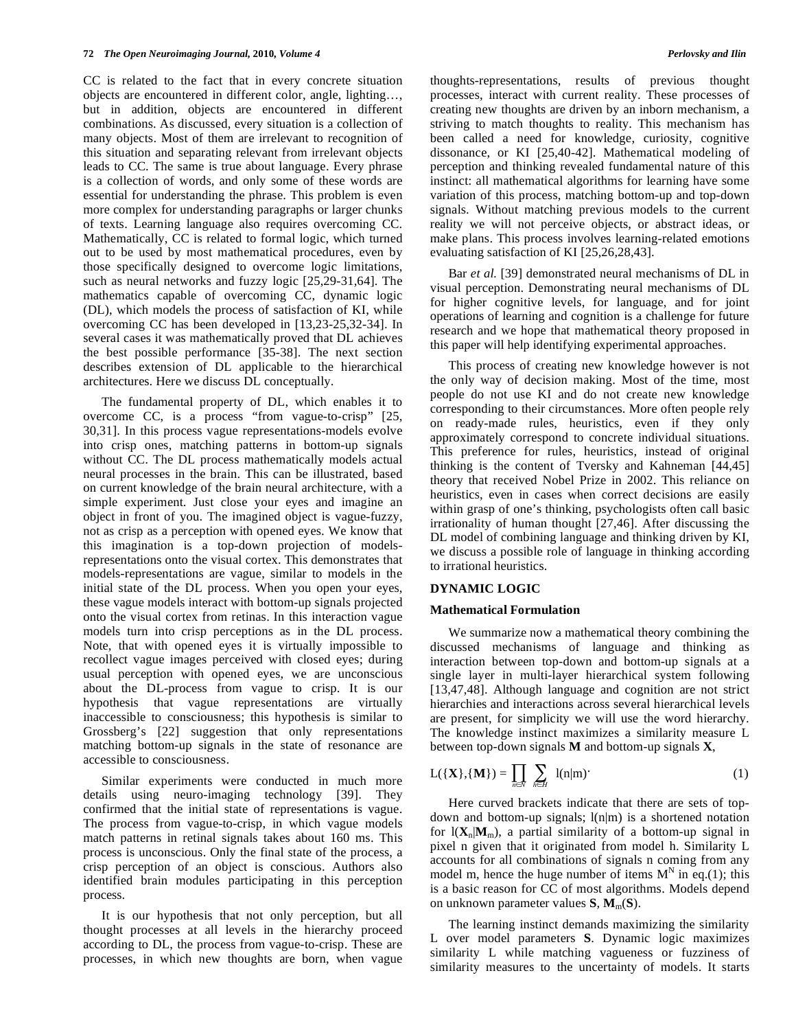CC is related to the fact that in every concrete situation objects are encountered in different color, angle, lighting…, but in addition, objects are encountered in different combinations. As discussed, every situation is a collection of many objects. Most of them are irrelevant to recognition of this situation and separating relevant from irrelevant objects leads to CC. The same is true about language. Every phrase is a collection of words, and only some of these words are essential for understanding the phrase. This problem is even more complex for understanding paragraphs or larger chunks of texts. Learning language also requires overcoming CC. Mathematically, CC is related to formal logic, which turned out to be used by most mathematical procedures, even by those specifically designed to overcome logic limitations, such as neural networks and fuzzy logic [25,29-31,64]. The mathematics capable of overcoming CC, dynamic logic (DL), which models the process of satisfaction of KI, while overcoming CC has been developed in [13,23-25,32-34]. In several cases it was mathematically proved that DL achieves the best possible performance [35-38]. The next section describes extension of DL applicable to the hierarchical architectures. Here we discuss DL conceptually.

 The fundamental property of DL, which enables it to overcome CC, is a process "from vague-to-crisp" [25, 30,31]. In this process vague representations-models evolve into crisp ones, matching patterns in bottom-up signals without CC. The DL process mathematically models actual neural processes in the brain. This can be illustrated, based on current knowledge of the brain neural architecture, with a simple experiment. Just close your eyes and imagine an object in front of you. The imagined object is vague-fuzzy, not as crisp as a perception with opened eyes. We know that this imagination is a top-down projection of modelsrepresentations onto the visual cortex. This demonstrates that models-representations are vague, similar to models in the initial state of the DL process. When you open your eyes, these vague models interact with bottom-up signals projected onto the visual cortex from retinas. In this interaction vague models turn into crisp perceptions as in the DL process. Note, that with opened eyes it is virtually impossible to recollect vague images perceived with closed eyes; during usual perception with opened eyes, we are unconscious about the DL-process from vague to crisp. It is our hypothesis that vague representations are virtually inaccessible to consciousness; this hypothesis is similar to Grossberg's [22] suggestion that only representations matching bottom-up signals in the state of resonance are accessible to consciousness.

 Similar experiments were conducted in much more details using neuro-imaging technology [39]. They confirmed that the initial state of representations is vague. The process from vague-to-crisp, in which vague models match patterns in retinal signals takes about 160 ms. This process is unconscious. Only the final state of the process, a crisp perception of an object is conscious. Authors also identified brain modules participating in this perception process.

 It is our hypothesis that not only perception, but all thought processes at all levels in the hierarchy proceed according to DL, the process from vague-to-crisp. These are processes, in which new thoughts are born, when vague

thoughts-representations, results of previous thought processes, interact with current reality. These processes of creating new thoughts are driven by an inborn mechanism, a striving to match thoughts to reality. This mechanism has been called a need for knowledge, curiosity, cognitive dissonance, or KI [25,40-42]. Mathematical modeling of perception and thinking revealed fundamental nature of this instinct: all mathematical algorithms for learning have some variation of this process, matching bottom-up and top-down signals. Without matching previous models to the current reality we will not perceive objects, or abstract ideas, or make plans. This process involves learning-related emotions evaluating satisfaction of KI [25,26,28,43].

 Bar *et al.* [39] demonstrated neural mechanisms of DL in visual perception. Demonstrating neural mechanisms of DL for higher cognitive levels, for language, and for joint operations of learning and cognition is a challenge for future research and we hope that mathematical theory proposed in this paper will help identifying experimental approaches.

 This process of creating new knowledge however is not the only way of decision making. Most of the time, most people do not use KI and do not create new knowledge corresponding to their circumstances. More often people rely on ready-made rules, heuristics, even if they only approximately correspond to concrete individual situations. This preference for rules, heuristics, instead of original thinking is the content of Tversky and Kahneman [44,45] theory that received Nobel Prize in 2002. This reliance on heuristics, even in cases when correct decisions are easily within grasp of one's thinking, psychologists often call basic irrationality of human thought [27,46]. After discussing the DL model of combining language and thinking driven by KI, we discuss a possible role of language in thinking according to irrational heuristics.

## **DYNAMIC LOGIC**

#### **Mathematical Formulation**

 We summarize now a mathematical theory combining the discussed mechanisms of language and thinking as interaction between top-down and bottom-up signals at a single layer in multi-layer hierarchical system following [13,47,48]. Although language and cognition are not strict hierarchies and interactions across several hierarchical levels are present, for simplicity we will use the word hierarchy. The knowledge instinct maximizes a similarity measure L between top-down signals **M** and bottom-up signals **X**,

$$
L(\{\mathbf{X}\}, \{\mathbf{M}\}) = \prod_{n \in \mathbb{N}} \sum_{h \in H} l(n|m) \tag{1}
$$

 Here curved brackets indicate that there are sets of topdown and bottom-up signals; l(n|m) is a shortened notation for  $I(X_n|M_m)$ , a partial similarity of a bottom-up signal in pixel n given that it originated from model h. Similarity L accounts for all combinations of signals n coming from any model m, hence the huge number of items  $M<sup>N</sup>$  in eq.(1); this is a basic reason for CC of most algorithms. Models depend on unknown parameter values  $S$ ,  $M_m(S)$ .

 The learning instinct demands maximizing the similarity L over model parameters **S**. Dynamic logic maximizes similarity L while matching vagueness or fuzziness of similarity measures to the uncertainty of models. It starts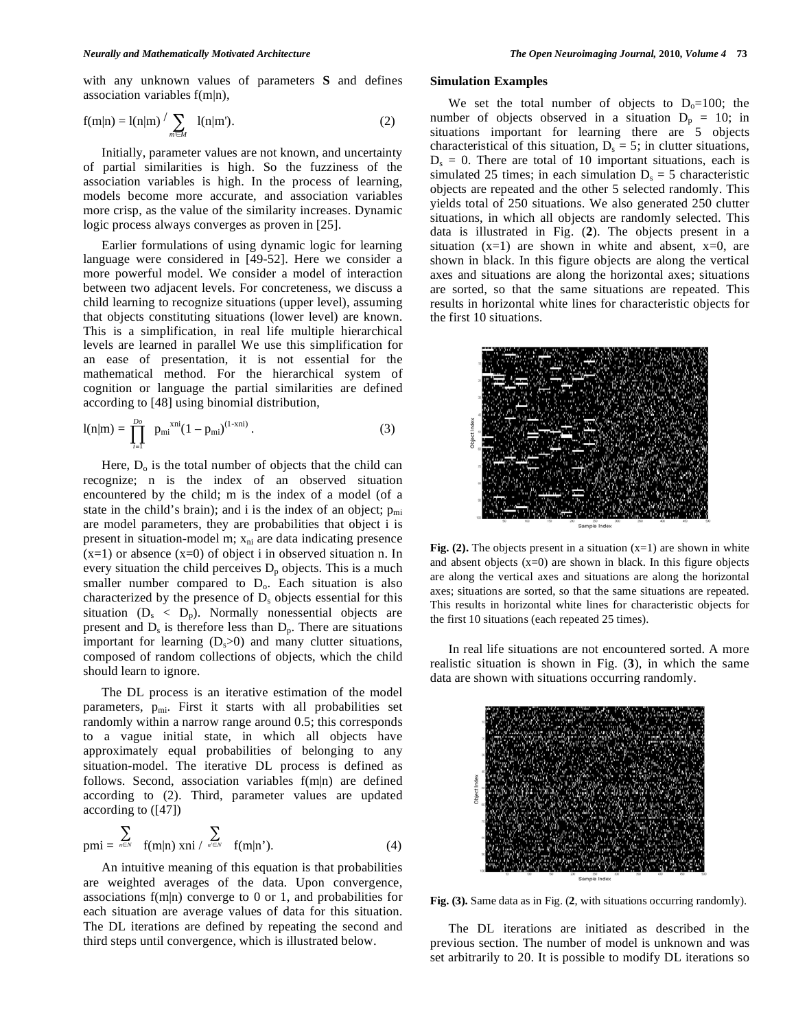with any unknown values of parameters **S** and defines association variables f(m|n),

$$
f(m|n) = l(n|m) / \sum_{m \in M} l(n|m').
$$
 (2)

 Initially, parameter values are not known, and uncertainty of partial similarities is high. So the fuzziness of the association variables is high. In the process of learning, models become more accurate, and association variables more crisp, as the value of the similarity increases. Dynamic logic process always converges as proven in [25].

 Earlier formulations of using dynamic logic for learning language were considered in [49-52]. Here we consider a more powerful model. We consider a model of interaction between two adjacent levels. For concreteness, we discuss a child learning to recognize situations (upper level), assuming that objects constituting situations (lower level) are known. This is a simplification, in real life multiple hierarchical levels are learned in parallel We use this simplification for an ease of presentation, it is not essential for the mathematical method. For the hierarchical system of cognition or language the partial similarities are defined according to [48] using binomial distribution,

$$
l(n|m) = \prod_{i=1}^{Do} p_{mi}^{xni} (1 - p_{mi})^{(1-xni)}.
$$
 (3)

Here,  $D_0$  is the total number of objects that the child can recognize; n is the index of an observed situation encountered by the child; m is the index of a model (of a state in the child's brain); and i is the index of an object;  $p_{mi}$ are model parameters, they are probabilities that object i is present in situation-model m;  $x_{ni}$  are data indicating presence  $(x=1)$  or absence  $(x=0)$  of object i in observed situation n. In every situation the child perceives  $D_p$  objects. This is a much smaller number compared to  $D_0$ . Each situation is also characterized by the presence of  $D_s$  objects essential for this situation  $(D_s < D_p)$ . Normally nonessential objects are present and  $D_s$  is therefore less than  $D_p$ . There are situations important for learning  $(D_s>0)$  and many clutter situations, composed of random collections of objects, which the child should learn to ignore.

 The DL process is an iterative estimation of the model parameters,  $p_{mi}$ . First it starts with all probabilities set randomly within a narrow range around 0.5; this corresponds to a vague initial state, in which all objects have approximately equal probabilities of belonging to any situation-model. The iterative DL process is defined as follows. Second, association variables f(m|n) are defined according to (2). Third, parameter values are updated according to ([47])

$$
pmi = \sum_{n \in N} \sum_{f(m|n) \, xni / n \in N} \sum_{n \in N} f(m|n'). \tag{4}
$$

 An intuitive meaning of this equation is that probabilities are weighted averages of the data. Upon convergence, associations  $f(m|n)$  converge to 0 or 1, and probabilities for each situation are average values of data for this situation. The DL iterations are defined by repeating the second and third steps until convergence, which is illustrated below.

#### **Simulation Examples**

We set the total number of objects to  $D_0=100$ ; the number of objects observed in a situation  $D_p = 10$ ; in situations important for learning there are 5 objects characteristical of this situation,  $D_s = 5$ ; in clutter situations,  $D_s = 0$ . There are total of 10 important situations, each is simulated 25 times; in each simulation  $D_s = 5$  characteristic objects are repeated and the other 5 selected randomly. This yields total of 250 situations. We also generated 250 clutter situations, in which all objects are randomly selected. This data is illustrated in Fig. (**2**). The objects present in a situation  $(x=1)$  are shown in white and absent,  $x=0$ , are shown in black. In this figure objects are along the vertical axes and situations are along the horizontal axes; situations are sorted, so that the same situations are repeated. This results in horizontal white lines for characteristic objects for the first 10 situations.



**Fig. (2).** The objects present in a situation  $(x=1)$  are shown in white and absent objects  $(x=0)$  are shown in black. In this figure objects are along the vertical axes and situations are along the horizontal axes; situations are sorted, so that the same situations are repeated. This results in horizontal white lines for characteristic objects for the first 10 situations (each repeated 25 times).

 In real life situations are not encountered sorted. A more realistic situation is shown in Fig. (**3**), in which the same data are shown with situations occurring randomly.



**Fig. (3).** Same data as in Fig. (**2**, with situations occurring randomly).

 The DL iterations are initiated as described in the previous section. The number of model is unknown and was set arbitrarily to 20. It is possible to modify DL iterations so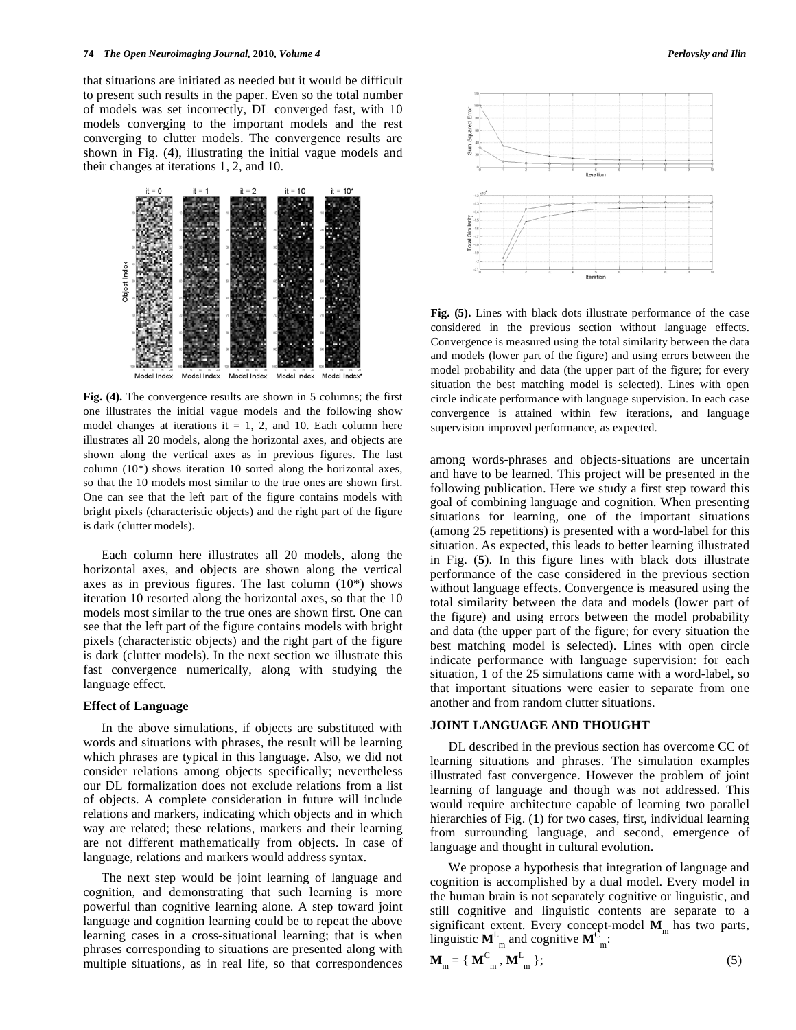that situations are initiated as needed but it would be difficult to present such results in the paper. Even so the total number of models was set incorrectly, DL converged fast, with 10 models converging to the important models and the rest converging to clutter models. The convergence results are shown in Fig. (**4**), illustrating the initial vague models and their changes at iterations 1, 2, and 10.



**Fig. (4).** The convergence results are shown in 5 columns; the first one illustrates the initial vague models and the following show model changes at iterations it  $= 1, 2$ , and 10. Each column here illustrates all 20 models, along the horizontal axes, and objects are shown along the vertical axes as in previous figures. The last column (10\*) shows iteration 10 sorted along the horizontal axes, so that the 10 models most similar to the true ones are shown first. One can see that the left part of the figure contains models with bright pixels (characteristic objects) and the right part of the figure is dark (clutter models).

 Each column here illustrates all 20 models, along the horizontal axes, and objects are shown along the vertical axes as in previous figures. The last column (10\*) shows iteration 10 resorted along the horizontal axes, so that the 10 models most similar to the true ones are shown first. One can see that the left part of the figure contains models with bright pixels (characteristic objects) and the right part of the figure is dark (clutter models). In the next section we illustrate this fast convergence numerically, along with studying the language effect.

#### **Effect of Language**

 In the above simulations, if objects are substituted with words and situations with phrases, the result will be learning which phrases are typical in this language. Also, we did not consider relations among objects specifically; nevertheless our DL formalization does not exclude relations from a list of objects. A complete consideration in future will include relations and markers, indicating which objects and in which way are related; these relations, markers and their learning are not different mathematically from objects. In case of language, relations and markers would address syntax.

 The next step would be joint learning of language and cognition, and demonstrating that such learning is more powerful than cognitive learning alone. A step toward joint language and cognition learning could be to repeat the above learning cases in a cross-situational learning; that is when phrases corresponding to situations are presented along with multiple situations, as in real life, so that correspondences



**Fig. (5).** Lines with black dots illustrate performance of the case considered in the previous section without language effects. Convergence is measured using the total similarity between the data and models (lower part of the figure) and using errors between the model probability and data (the upper part of the figure; for every situation the best matching model is selected). Lines with open circle indicate performance with language supervision. In each case convergence is attained within few iterations, and language supervision improved performance, as expected.

among words-phrases and objects-situations are uncertain and have to be learned. This project will be presented in the following publication. Here we study a first step toward this goal of combining language and cognition. When presenting situations for learning, one of the important situations (among 25 repetitions) is presented with a word-label for this situation. As expected, this leads to better learning illustrated in Fig. (**5**). In this figure lines with black dots illustrate performance of the case considered in the previous section without language effects. Convergence is measured using the total similarity between the data and models (lower part of the figure) and using errors between the model probability and data (the upper part of the figure; for every situation the best matching model is selected). Lines with open circle indicate performance with language supervision: for each situation, 1 of the 25 simulations came with a word-label, so that important situations were easier to separate from one another and from random clutter situations.

#### **JOINT LANGUAGE AND THOUGHT**

 DL described in the previous section has overcome CC of learning situations and phrases. The simulation examples illustrated fast convergence. However the problem of joint learning of language and though was not addressed. This would require architecture capable of learning two parallel hierarchies of Fig. (**1**) for two cases, first, individual learning from surrounding language, and second, emergence of language and thought in cultural evolution.

 We propose a hypothesis that integration of language and cognition is accomplished by a dual model. Every model in the human brain is not separately cognitive or linguistic, and still cognitive and linguistic contents are separate to a significant extent. Every concept-model **M**<sub>m</sub> has two parts, linguistic  $M_{m}^{L}$  and cognitive  $M_{m}^{C}$ :

$$
\mathbf{M}_{m} = \{ \mathbf{M}_{m}^{C}, \mathbf{M}_{m}^{L} \};
$$
\n<sup>(5)</sup>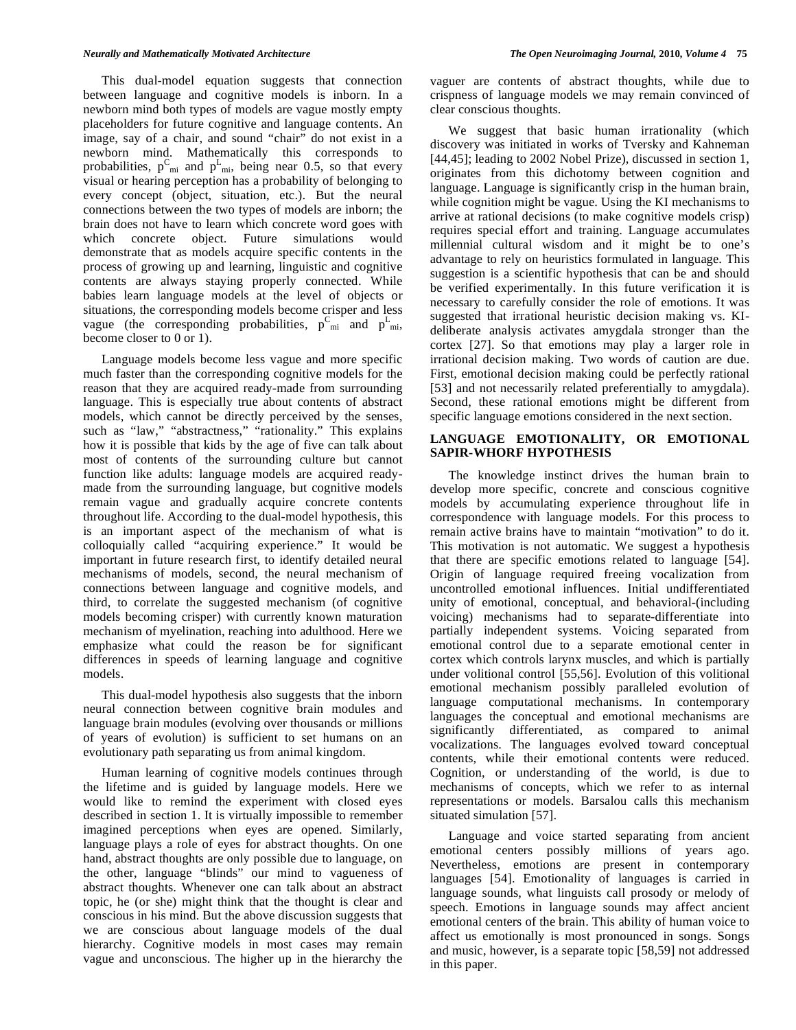This dual-model equation suggests that connection between language and cognitive models is inborn. In a newborn mind both types of models are vague mostly empty placeholders for future cognitive and language contents. An image, say of a chair, and sound "chair" do not exist in a newborn mind. Mathematically this corresponds to probabilities,  $p_{mi}^C$  and  $p_{mi}^L$ , being near 0.5, so that every visual or hearing perception has a probability of belonging to every concept (object, situation, etc.). But the neural connections between the two types of models are inborn; the brain does not have to learn which concrete word goes with which concrete object. Future simulations would demonstrate that as models acquire specific contents in the process of growing up and learning, linguistic and cognitive contents are always staying properly connected. While babies learn language models at the level of objects or situations, the corresponding models become crisper and less vague (the corresponding probabilities,  $p_{mi}^C$  and  $p_{mi}^L$ , become closer to 0 or 1).

 Language models become less vague and more specific much faster than the corresponding cognitive models for the reason that they are acquired ready-made from surrounding language. This is especially true about contents of abstract models, which cannot be directly perceived by the senses, such as "law," "abstractness," "rationality." This explains how it is possible that kids by the age of five can talk about most of contents of the surrounding culture but cannot function like adults: language models are acquired readymade from the surrounding language, but cognitive models remain vague and gradually acquire concrete contents throughout life. According to the dual-model hypothesis, this is an important aspect of the mechanism of what is colloquially called "acquiring experience." It would be important in future research first, to identify detailed neural mechanisms of models, second, the neural mechanism of connections between language and cognitive models, and third, to correlate the suggested mechanism (of cognitive models becoming crisper) with currently known maturation mechanism of myelination, reaching into adulthood. Here we emphasize what could the reason be for significant differences in speeds of learning language and cognitive models.

 This dual-model hypothesis also suggests that the inborn neural connection between cognitive brain modules and language brain modules (evolving over thousands or millions of years of evolution) is sufficient to set humans on an evolutionary path separating us from animal kingdom.

 Human learning of cognitive models continues through the lifetime and is guided by language models. Here we would like to remind the experiment with closed eyes described in section 1. It is virtually impossible to remember imagined perceptions when eyes are opened. Similarly, language plays a role of eyes for abstract thoughts. On one hand, abstract thoughts are only possible due to language, on the other, language "blinds" our mind to vagueness of abstract thoughts. Whenever one can talk about an abstract topic, he (or she) might think that the thought is clear and conscious in his mind. But the above discussion suggests that we are conscious about language models of the dual hierarchy. Cognitive models in most cases may remain vague and unconscious. The higher up in the hierarchy the

vaguer are contents of abstract thoughts, while due to crispness of language models we may remain convinced of clear conscious thoughts.

We suggest that basic human irrationality (which discovery was initiated in works of Tversky and Kahneman [44,45]; leading to 2002 Nobel Prize), discussed in section 1, originates from this dichotomy between cognition and language. Language is significantly crisp in the human brain, while cognition might be vague. Using the KI mechanisms to arrive at rational decisions (to make cognitive models crisp) requires special effort and training. Language accumulates millennial cultural wisdom and it might be to one's advantage to rely on heuristics formulated in language. This suggestion is a scientific hypothesis that can be and should be verified experimentally. In this future verification it is necessary to carefully consider the role of emotions. It was suggested that irrational heuristic decision making vs. KIdeliberate analysis activates amygdala stronger than the cortex [27]. So that emotions may play a larger role in irrational decision making. Two words of caution are due. First, emotional decision making could be perfectly rational [53] and not necessarily related preferentially to amygdala). Second, these rational emotions might be different from specific language emotions considered in the next section.

# **LANGUAGE EMOTIONALITY, OR EMOTIONAL SAPIR-WHORF HYPOTHESIS**

 The knowledge instinct drives the human brain to develop more specific, concrete and conscious cognitive models by accumulating experience throughout life in correspondence with language models. For this process to remain active brains have to maintain "motivation" to do it. This motivation is not automatic. We suggest a hypothesis that there are specific emotions related to language [54]. Origin of language required freeing vocalization from uncontrolled emotional influences. Initial undifferentiated unity of emotional, conceptual, and behavioral-(including voicing) mechanisms had to separate-differentiate into partially independent systems. Voicing separated from emotional control due to a separate emotional center in cortex which controls larynx muscles, and which is partially under volitional control [55,56]. Evolution of this volitional emotional mechanism possibly paralleled evolution of language computational mechanisms. In contemporary languages the conceptual and emotional mechanisms are significantly differentiated, as compared to animal vocalizations. The languages evolved toward conceptual contents, while their emotional contents were reduced. Cognition, or understanding of the world, is due to mechanisms of concepts, which we refer to as internal representations or models. Barsalou calls this mechanism situated simulation [57].

 Language and voice started separating from ancient emotional centers possibly millions of years ago. Nevertheless, emotions are present in contemporary languages [54]. Emotionality of languages is carried in language sounds, what linguists call prosody or melody of speech. Emotions in language sounds may affect ancient emotional centers of the brain. This ability of human voice to affect us emotionally is most pronounced in songs. Songs and music, however, is a separate topic [58,59] not addressed in this paper.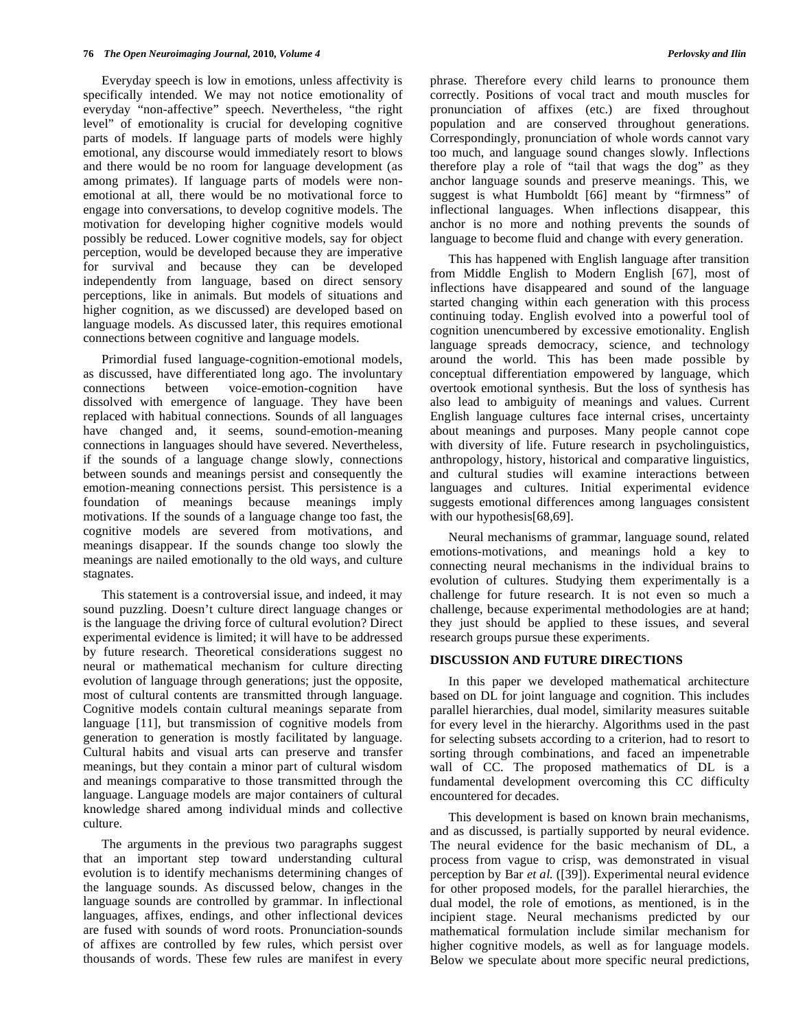Everyday speech is low in emotions, unless affectivity is specifically intended. We may not notice emotionality of everyday "non-affective" speech. Nevertheless, "the right level" of emotionality is crucial for developing cognitive parts of models. If language parts of models were highly emotional, any discourse would immediately resort to blows and there would be no room for language development (as among primates). If language parts of models were nonemotional at all, there would be no motivational force to engage into conversations, to develop cognitive models. The motivation for developing higher cognitive models would possibly be reduced. Lower cognitive models, say for object perception, would be developed because they are imperative for survival and because they can be developed independently from language, based on direct sensory perceptions, like in animals. But models of situations and higher cognition, as we discussed) are developed based on language models. As discussed later, this requires emotional connections between cognitive and language models.

 Primordial fused language-cognition-emotional models, as discussed, have differentiated long ago. The involuntary connections between voice-emotion-cognition have dissolved with emergence of language. They have been replaced with habitual connections. Sounds of all languages have changed and, it seems, sound-emotion-meaning connections in languages should have severed. Nevertheless, if the sounds of a language change slowly, connections between sounds and meanings persist and consequently the emotion-meaning connections persist. This persistence is a foundation of meanings because meanings imply motivations. If the sounds of a language change too fast, the cognitive models are severed from motivations, and meanings disappear. If the sounds change too slowly the meanings are nailed emotionally to the old ways, and culture stagnates.

 This statement is a controversial issue, and indeed, it may sound puzzling. Doesn't culture direct language changes or is the language the driving force of cultural evolution? Direct experimental evidence is limited; it will have to be addressed by future research. Theoretical considerations suggest no neural or mathematical mechanism for culture directing evolution of language through generations; just the opposite, most of cultural contents are transmitted through language. Cognitive models contain cultural meanings separate from language [11], but transmission of cognitive models from generation to generation is mostly facilitated by language. Cultural habits and visual arts can preserve and transfer meanings, but they contain a minor part of cultural wisdom and meanings comparative to those transmitted through the language. Language models are major containers of cultural knowledge shared among individual minds and collective culture.

 The arguments in the previous two paragraphs suggest that an important step toward understanding cultural evolution is to identify mechanisms determining changes of the language sounds. As discussed below, changes in the language sounds are controlled by grammar. In inflectional languages, affixes, endings, and other inflectional devices are fused with sounds of word roots. Pronunciation-sounds of affixes are controlled by few rules, which persist over thousands of words. These few rules are manifest in every

phrase. Therefore every child learns to pronounce them correctly. Positions of vocal tract and mouth muscles for pronunciation of affixes (etc.) are fixed throughout population and are conserved throughout generations. Correspondingly, pronunciation of whole words cannot vary too much, and language sound changes slowly. Inflections therefore play a role of "tail that wags the dog" as they anchor language sounds and preserve meanings. This, we suggest is what Humboldt [66] meant by "firmness" of inflectional languages. When inflections disappear, this anchor is no more and nothing prevents the sounds of language to become fluid and change with every generation.

 This has happened with English language after transition from Middle English to Modern English [67], most of inflections have disappeared and sound of the language started changing within each generation with this process continuing today. English evolved into a powerful tool of cognition unencumbered by excessive emotionality. English language spreads democracy, science, and technology around the world. This has been made possible by conceptual differentiation empowered by language, which overtook emotional synthesis. But the loss of synthesis has also lead to ambiguity of meanings and values. Current English language cultures face internal crises, uncertainty about meanings and purposes. Many people cannot cope with diversity of life. Future research in psycholinguistics, anthropology, history, historical and comparative linguistics, and cultural studies will examine interactions between languages and cultures. Initial experimental evidence suggests emotional differences among languages consistent with our hypothesis[68,69].

 Neural mechanisms of grammar, language sound, related emotions-motivations, and meanings hold a key to connecting neural mechanisms in the individual brains to evolution of cultures. Studying them experimentally is a challenge for future research. It is not even so much a challenge, because experimental methodologies are at hand; they just should be applied to these issues, and several research groups pursue these experiments.

## **DISCUSSION AND FUTURE DIRECTIONS**

 In this paper we developed mathematical architecture based on DL for joint language and cognition. This includes parallel hierarchies, dual model, similarity measures suitable for every level in the hierarchy. Algorithms used in the past for selecting subsets according to a criterion, had to resort to sorting through combinations, and faced an impenetrable wall of CC. The proposed mathematics of DL is a fundamental development overcoming this CC difficulty encountered for decades.

 This development is based on known brain mechanisms, and as discussed, is partially supported by neural evidence. The neural evidence for the basic mechanism of DL, a process from vague to crisp, was demonstrated in visual perception by Bar *et al.* ([39]). Experimental neural evidence for other proposed models, for the parallel hierarchies, the dual model, the role of emotions, as mentioned, is in the incipient stage. Neural mechanisms predicted by our mathematical formulation include similar mechanism for higher cognitive models, as well as for language models. Below we speculate about more specific neural predictions,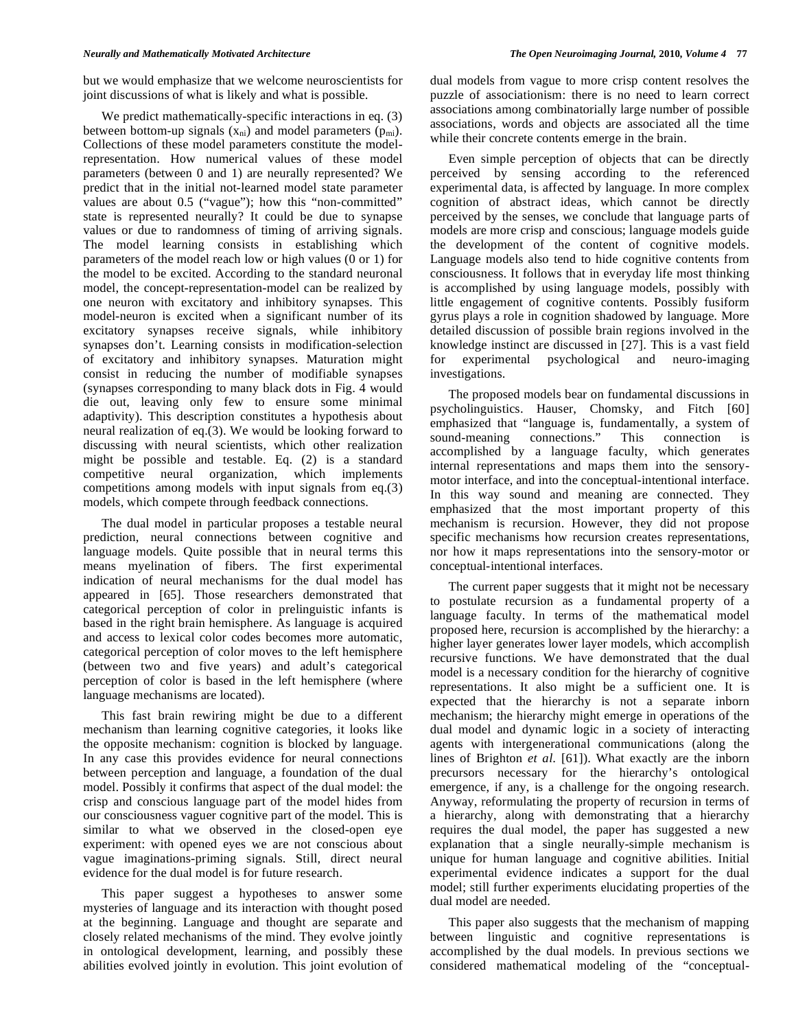but we would emphasize that we welcome neuroscientists for joint discussions of what is likely and what is possible.

We predict mathematically-specific interactions in eq. (3) between bottom-up signals  $(x_{ni})$  and model parameters  $(p_{mi})$ . Collections of these model parameters constitute the modelrepresentation. How numerical values of these model parameters (between 0 and 1) are neurally represented? We predict that in the initial not-learned model state parameter values are about 0.5 ("vague"); how this "non-committed" state is represented neurally? It could be due to synapse values or due to randomness of timing of arriving signals. The model learning consists in establishing which parameters of the model reach low or high values  $(0 \text{ or } 1)$  for the model to be excited. According to the standard neuronal model, the concept-representation-model can be realized by one neuron with excitatory and inhibitory synapses. This model-neuron is excited when a significant number of its excitatory synapses receive signals, while inhibitory synapses don't. Learning consists in modification-selection of excitatory and inhibitory synapses. Maturation might consist in reducing the number of modifiable synapses (synapses corresponding to many black dots in Fig. 4 would die out, leaving only few to ensure some minimal adaptivity). This description constitutes a hypothesis about neural realization of eq.(3). We would be looking forward to discussing with neural scientists, which other realization might be possible and testable. Eq. (2) is a standard competitive neural organization, which implements competitions among models with input signals from eq.(3) models, which compete through feedback connections.

 The dual model in particular proposes a testable neural prediction, neural connections between cognitive and language models. Quite possible that in neural terms this means myelination of fibers. The first experimental indication of neural mechanisms for the dual model has appeared in [65]. Those researchers demonstrated that categorical perception of color in prelinguistic infants is based in the right brain hemisphere. As language is acquired and access to lexical color codes becomes more automatic, categorical perception of color moves to the left hemisphere (between two and five years) and adult's categorical perception of color is based in the left hemisphere (where language mechanisms are located).

 This fast brain rewiring might be due to a different mechanism than learning cognitive categories, it looks like the opposite mechanism: cognition is blocked by language. In any case this provides evidence for neural connections between perception and language, a foundation of the dual model. Possibly it confirms that aspect of the dual model: the crisp and conscious language part of the model hides from our consciousness vaguer cognitive part of the model. This is similar to what we observed in the closed-open eye experiment: with opened eyes we are not conscious about vague imaginations-priming signals. Still, direct neural evidence for the dual model is for future research.

 This paper suggest a hypotheses to answer some mysteries of language and its interaction with thought posed at the beginning. Language and thought are separate and closely related mechanisms of the mind. They evolve jointly in ontological development, learning, and possibly these abilities evolved jointly in evolution. This joint evolution of dual models from vague to more crisp content resolves the puzzle of associationism: there is no need to learn correct associations among combinatorially large number of possible associations, words and objects are associated all the time while their concrete contents emerge in the brain.

 Even simple perception of objects that can be directly perceived by sensing according to the referenced experimental data, is affected by language. In more complex cognition of abstract ideas, which cannot be directly perceived by the senses, we conclude that language parts of models are more crisp and conscious; language models guide the development of the content of cognitive models. Language models also tend to hide cognitive contents from consciousness. It follows that in everyday life most thinking is accomplished by using language models, possibly with little engagement of cognitive contents. Possibly fusiform gyrus plays a role in cognition shadowed by language. More detailed discussion of possible brain regions involved in the knowledge instinct are discussed in [27]. This is a vast field for experimental psychological and neuro-imaging investigations.

 The proposed models bear on fundamental discussions in psycholinguistics. Hauser, Chomsky, and Fitch [60] emphasized that "language is, fundamentally, a system of sound-meaning connections." This connection is accomplished by a language faculty, which generates internal representations and maps them into the sensorymotor interface, and into the conceptual-intentional interface. In this way sound and meaning are connected. They emphasized that the most important property of this mechanism is recursion. However, they did not propose specific mechanisms how recursion creates representations, nor how it maps representations into the sensory-motor or conceptual-intentional interfaces.

 The current paper suggests that it might not be necessary to postulate recursion as a fundamental property of a language faculty. In terms of the mathematical model proposed here, recursion is accomplished by the hierarchy: a higher layer generates lower layer models, which accomplish recursive functions. We have demonstrated that the dual model is a necessary condition for the hierarchy of cognitive representations. It also might be a sufficient one. It is expected that the hierarchy is not a separate inborn mechanism; the hierarchy might emerge in operations of the dual model and dynamic logic in a society of interacting agents with intergenerational communications (along the lines of Brighton *et al*. [61]). What exactly are the inborn precursors necessary for the hierarchy's ontological emergence, if any, is a challenge for the ongoing research. Anyway, reformulating the property of recursion in terms of a hierarchy, along with demonstrating that a hierarchy requires the dual model, the paper has suggested a new explanation that a single neurally-simple mechanism is unique for human language and cognitive abilities. Initial experimental evidence indicates a support for the dual model; still further experiments elucidating properties of the dual model are needed.

 This paper also suggests that the mechanism of mapping between linguistic and cognitive representations is accomplished by the dual models. In previous sections we considered mathematical modeling of the "conceptual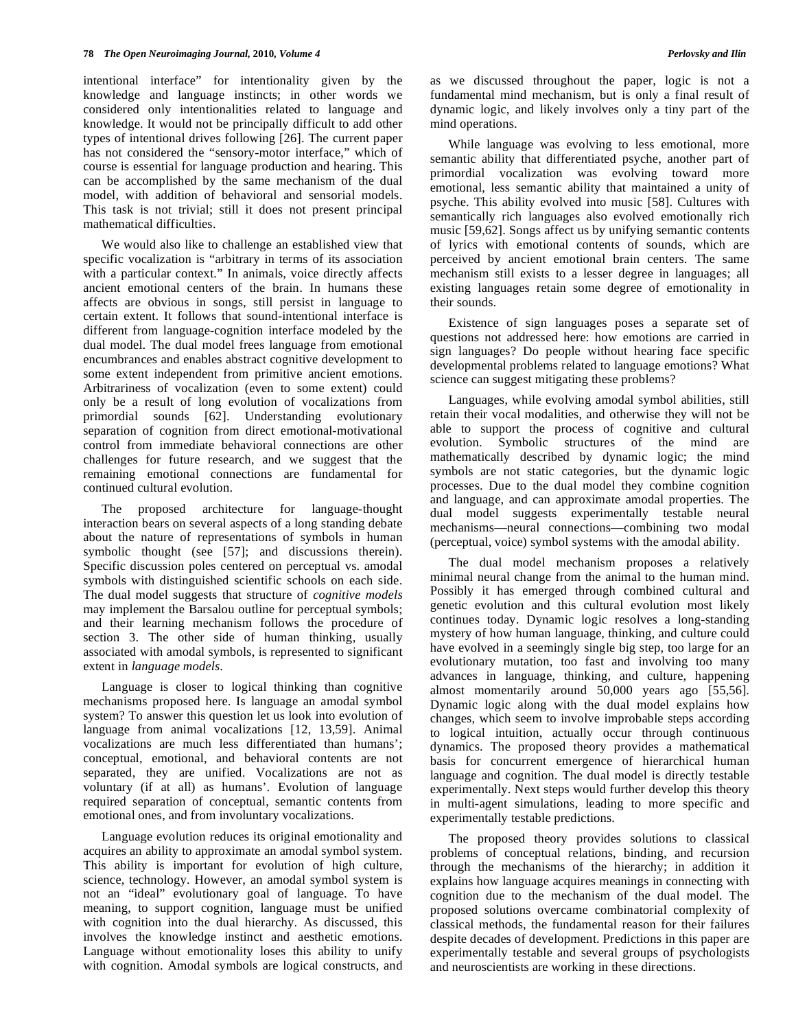intentional interface" for intentionality given by the knowledge and language instincts; in other words we considered only intentionalities related to language and knowledge. It would not be principally difficult to add other types of intentional drives following [26]. The current paper has not considered the "sensory-motor interface," which of course is essential for language production and hearing. This can be accomplished by the same mechanism of the dual model, with addition of behavioral and sensorial models. This task is not trivial; still it does not present principal mathematical difficulties.

 We would also like to challenge an established view that specific vocalization is "arbitrary in terms of its association with a particular context." In animals, voice directly affects ancient emotional centers of the brain. In humans these affects are obvious in songs, still persist in language to certain extent. It follows that sound-intentional interface is different from language-cognition interface modeled by the dual model. The dual model frees language from emotional encumbrances and enables abstract cognitive development to some extent independent from primitive ancient emotions. Arbitrariness of vocalization (even to some extent) could only be a result of long evolution of vocalizations from primordial sounds [62]. Understanding evolutionary separation of cognition from direct emotional-motivational control from immediate behavioral connections are other challenges for future research, and we suggest that the remaining emotional connections are fundamental for continued cultural evolution.

 The proposed architecture for language-thought interaction bears on several aspects of a long standing debate about the nature of representations of symbols in human symbolic thought (see [57]; and discussions therein). Specific discussion poles centered on perceptual vs. amodal symbols with distinguished scientific schools on each side. The dual model suggests that structure of *cognitive models* may implement the Barsalou outline for perceptual symbols; and their learning mechanism follows the procedure of section 3. The other side of human thinking, usually associated with amodal symbols, is represented to significant extent in *language models*.

 Language is closer to logical thinking than cognitive mechanisms proposed here. Is language an amodal symbol system? To answer this question let us look into evolution of language from animal vocalizations [12, 13,59]. Animal vocalizations are much less differentiated than humans'; conceptual, emotional, and behavioral contents are not separated, they are unified. Vocalizations are not as voluntary (if at all) as humans'. Evolution of language required separation of conceptual, semantic contents from emotional ones, and from involuntary vocalizations.

 Language evolution reduces its original emotionality and acquires an ability to approximate an amodal symbol system. This ability is important for evolution of high culture, science, technology. However, an amodal symbol system is not an "ideal" evolutionary goal of language. To have meaning, to support cognition, language must be unified with cognition into the dual hierarchy. As discussed, this involves the knowledge instinct and aesthetic emotions. Language without emotionality loses this ability to unify with cognition. Amodal symbols are logical constructs, and

as we discussed throughout the paper, logic is not a fundamental mind mechanism, but is only a final result of dynamic logic, and likely involves only a tiny part of the mind operations.

 While language was evolving to less emotional, more semantic ability that differentiated psyche, another part of primordial vocalization was evolving toward more emotional, less semantic ability that maintained a unity of psyche. This ability evolved into music [58]. Cultures with semantically rich languages also evolved emotionally rich music [59,62]. Songs affect us by unifying semantic contents of lyrics with emotional contents of sounds, which are perceived by ancient emotional brain centers. The same mechanism still exists to a lesser degree in languages; all existing languages retain some degree of emotionality in their sounds.

 Existence of sign languages poses a separate set of questions not addressed here: how emotions are carried in sign languages? Do people without hearing face specific developmental problems related to language emotions? What science can suggest mitigating these problems?

 Languages, while evolving amodal symbol abilities, still retain their vocal modalities, and otherwise they will not be able to support the process of cognitive and cultural evolution. Symbolic structures of the mind are mathematically described by dynamic logic; the mind symbols are not static categories, but the dynamic logic processes. Due to the dual model they combine cognition and language, and can approximate amodal properties. The dual model suggests experimentally testable neural mechanisms—neural connections—combining two modal (perceptual, voice) symbol systems with the amodal ability.

 The dual model mechanism proposes a relatively minimal neural change from the animal to the human mind. Possibly it has emerged through combined cultural and genetic evolution and this cultural evolution most likely continues today. Dynamic logic resolves a long-standing mystery of how human language, thinking, and culture could have evolved in a seemingly single big step, too large for an evolutionary mutation, too fast and involving too many advances in language, thinking, and culture, happening almost momentarily around 50,000 years ago [55,56]. Dynamic logic along with the dual model explains how changes, which seem to involve improbable steps according to logical intuition, actually occur through continuous dynamics. The proposed theory provides a mathematical basis for concurrent emergence of hierarchical human language and cognition. The dual model is directly testable experimentally. Next steps would further develop this theory in multi-agent simulations, leading to more specific and experimentally testable predictions.

 The proposed theory provides solutions to classical problems of conceptual relations, binding, and recursion through the mechanisms of the hierarchy; in addition it explains how language acquires meanings in connecting with cognition due to the mechanism of the dual model. The proposed solutions overcame combinatorial complexity of classical methods, the fundamental reason for their failures despite decades of development. Predictions in this paper are experimentally testable and several groups of psychologists and neuroscientists are working in these directions.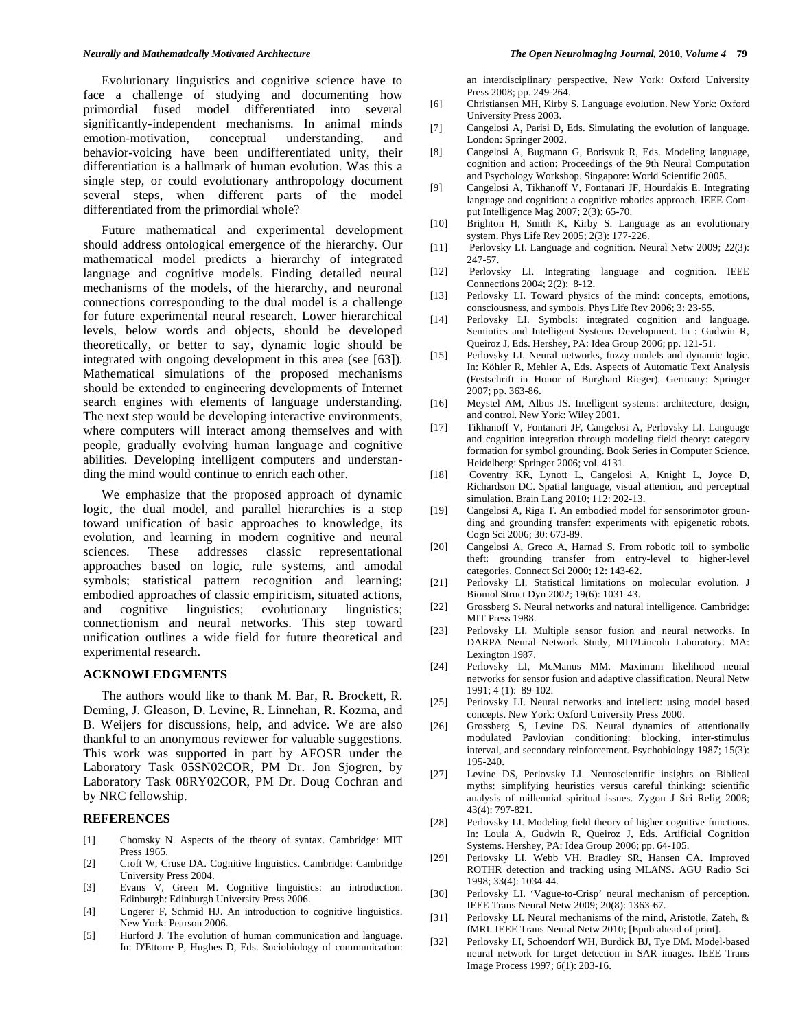Evolutionary linguistics and cognitive science have to face a challenge of studying and documenting how primordial fused model differentiated into several significantly-independent mechanisms. In animal minds emotion-motivation, conceptual understanding, and behavior-voicing have been undifferentiated unity, their differentiation is a hallmark of human evolution. Was this a single step, or could evolutionary anthropology document several steps, when different parts of the model differentiated from the primordial whole?

 Future mathematical and experimental development should address ontological emergence of the hierarchy. Our mathematical model predicts a hierarchy of integrated language and cognitive models. Finding detailed neural mechanisms of the models, of the hierarchy, and neuronal connections corresponding to the dual model is a challenge for future experimental neural research. Lower hierarchical levels, below words and objects, should be developed theoretically, or better to say, dynamic logic should be integrated with ongoing development in this area (see [63]). Mathematical simulations of the proposed mechanisms should be extended to engineering developments of Internet search engines with elements of language understanding. The next step would be developing interactive environments, where computers will interact among themselves and with people, gradually evolving human language and cognitive abilities. Developing intelligent computers and understanding the mind would continue to enrich each other.

 We emphasize that the proposed approach of dynamic logic, the dual model, and parallel hierarchies is a step toward unification of basic approaches to knowledge, its evolution, and learning in modern cognitive and neural sciences. These addresses classic representational approaches based on logic, rule systems, and amodal symbols; statistical pattern recognition and learning; embodied approaches of classic empiricism, situated actions, and cognitive linguistics; evolutionary linguistics; connectionism and neural networks. This step toward unification outlines a wide field for future theoretical and experimental research.

#### **ACKNOWLEDGMENTS**

 The authors would like to thank M. Bar, R. Brockett, R. Deming, J. Gleason, D. Levine, R. Linnehan, R. Kozma, and B. Weijers for discussions, help, and advice. We are also thankful to an anonymous reviewer for valuable suggestions. This work was supported in part by AFOSR under the Laboratory Task 05SN02COR, PM Dr. Jon Sjogren, by Laboratory Task 08RY02COR, PM Dr. Doug Cochran and by NRC fellowship.

## **REFERENCES**

- [1] Chomsky N. Aspects of the theory of syntax. Cambridge: MIT Press 1965.
- [2] Croft W, Cruse DA. Cognitive linguistics. Cambridge: Cambridge University Press 2004.
- [3] Evans V, Green M. Cognitive linguistics: an introduction. Edinburgh: Edinburgh University Press 2006.
- [4] Ungerer F, Schmid HJ. An introduction to cognitive linguistics. New York: Pearson 2006.
- [5] Hurford J. The evolution of human communication and language. In: D'Ettorre P, Hughes D, Eds. Sociobiology of communication:

an interdisciplinary perspective. New York: Oxford University Press 2008; pp. 249-264.

- [6] Christiansen MH, Kirby S. Language evolution. New York: Oxford University Press 2003.
- [7] Cangelosi A, Parisi D, Eds. Simulating the evolution of language. London: Springer 2002.
- [8] Cangelosi A, Bugmann G, Borisyuk R, Eds. Modeling language, cognition and action: Proceedings of the 9th Neural Computation and Psychology Workshop. Singapore: World Scientific 2005.
- [9] Cangelosi A, Tikhanoff V, Fontanari JF, Hourdakis E. Integrating language and cognition: a cognitive robotics approach. IEEE Comput Intelligence Mag 2007; 2(3): 65-70.
- [10] Brighton H, Smith K, Kirby S. Language as an evolutionary system. Phys Life Rev 2005; 2(3): 177-226.
- [11] Perlovsky LI. Language and cognition. Neural Netw 2009; 22(3): 247-57.
- [12] Perlovsky LI. Integrating language and cognition. IEEE Connections 2004; 2(2): 8-12.
- [13] Perlovsky LI. Toward physics of the mind: concepts, emotions, consciousness, and symbols. Phys Life Rev 2006; 3: 23-55.
- [14] Perlovsky LI. Symbols: integrated cognition and language. Semiotics and Intelligent Systems Development. In : Gudwin R, Queiroz J, Eds. Hershey, PA: Idea Group 2006; pp. 121-51.
- [15] Perlovsky LI. Neural networks, fuzzy models and dynamic logic. In: Köhler R, Mehler A, Eds. Aspects of Automatic Text Analysis (Festschrift in Honor of Burghard Rieger). Germany: Springer 2007; pp. 363-86.
- [16] Meystel AM, Albus JS. Intelligent systems: architecture, design, and control. New York: Wiley 2001.
- [17] Tikhanoff V, Fontanari JF, Cangelosi A, Perlovsky LI. Language and cognition integration through modeling field theory: category formation for symbol grounding. Book Series in Computer Science. Heidelberg: Springer 2006; vol. 4131.
- [18] Coventry KR, Lynott L, Cangelosi A, Knight L, Joyce D, Richardson DC. Spatial language, visual attention, and perceptual simulation. Brain Lang 2010; 112: 202-13.
- [19] Cangelosi A, Riga T. An embodied model for sensorimotor grounding and grounding transfer: experiments with epigenetic robots. Cogn Sci 2006; 30: 673-89.
- [20] Cangelosi A, Greco A, Harnad S. From robotic toil to symbolic theft: grounding transfer from entry-level to higher-level categories. Connect Sci 2000; 12: 143-62.
- [21] Perlovsky LI. Statistical limitations on molecular evolution*.* J Biomol Struct Dyn 2002; 19(6): 1031-43.
- [22] Grossberg S. Neural networks and natural intelligence*.* Cambridge: MIT Press 1988.
- [23] Perlovsky LI. Multiple sensor fusion and neural networks. In DARPA Neural Network Study, MIT/Lincoln Laboratory. MA: Lexington 1987.
- [24] Perlovsky LI, McManus MM. Maximum likelihood neural networks for sensor fusion and adaptive classification. Neural Netw 1991; 4 (1): 89-102.
- [25] Perlovsky LI. Neural networks and intellect: using model based concepts. New York: Oxford University Press 2000.
- [26] Grossberg S, Levine DS. Neural dynamics of attentionally modulated Pavlovian conditioning: blocking, inter-stimulus interval, and secondary reinforcement. Psychobiology 1987; 15(3): 195-240.
- [27] Levine DS, Perlovsky LI. Neuroscientific insights on Biblical myths: simplifying heuristics versus careful thinking: scientific analysis of millennial spiritual issues. Zygon J Sci Relig 2008; 43(4): 797-821.
- [28] Perlovsky LI. Modeling field theory of higher cognitive functions. In: Loula A, Gudwin R, Queiroz J, Eds. Artificial Cognition Systems. Hershey, PA: Idea Group 2006; pp. 64-105.
- [29] Perlovsky LI, Webb VH, Bradley SR, Hansen CA. Improved ROTHR detection and tracking using MLANS. AGU Radio Sci 1998; 33(4): 1034-44.
- [30] Perlovsky LI. 'Vague-to-Crisp' neural mechanism of perception. IEEE Trans Neural Netw 2009; 20(8): 1363-67.
- [31] Perlovsky LI. Neural mechanisms of the mind, Aristotle, Zateh, & fMRI. IEEE Trans Neural Netw 2010; [Epub ahead of print].
- [32] Perlovsky LI, Schoendorf WH, Burdick BJ, Tye DM. Model-based neural network for target detection in SAR images. IEEE Trans Image Process 1997; 6(1): 203-16.